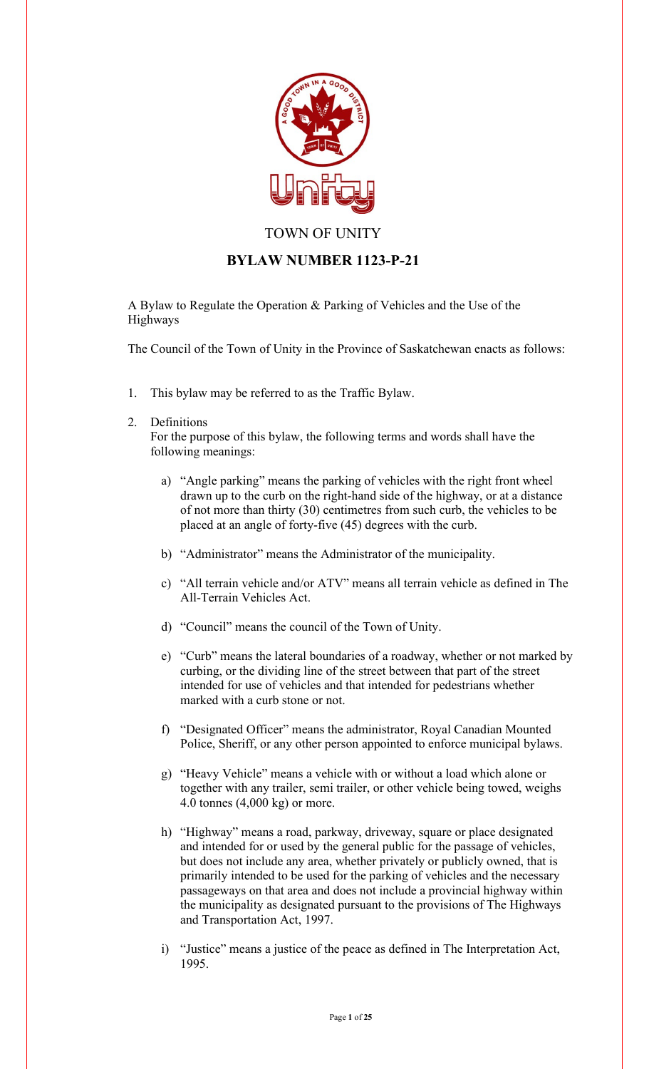

# TOWN OF UNITY

# **BYLAW NUMBER 1123-P-21**

A Bylaw to Regulate the Operation & Parking of Vehicles and the Use of the Highways

The Council of the Town of Unity in the Province of Saskatchewan enacts as follows:

1. This bylaw may be referred to as the Traffic Bylaw.

## 2. Definitions

For the purpose of this bylaw, the following terms and words shall have the following meanings:

- a) "Angle parking" means the parking of vehicles with the right front wheel drawn up to the curb on the right-hand side of the highway, or at a distance of not more than thirty (30) centimetres from such curb, the vehicles to be placed at an angle of forty-five (45) degrees with the curb.
- b) "Administrator" means the Administrator of the municipality.
- c) "All terrain vehicle and/or ATV" means all terrain vehicle as defined in The All-Terrain Vehicles Act.
- d) "Council" means the council of the Town of Unity.
- e) "Curb" means the lateral boundaries of a roadway, whether or not marked by curbing, or the dividing line of the street between that part of the street intended for use of vehicles and that intended for pedestrians whether marked with a curb stone or not.
- f) "Designated Officer" means the administrator, Royal Canadian Mounted Police, Sheriff, or any other person appointed to enforce municipal bylaws.
- g) "Heavy Vehicle" means a vehicle with or without a load which alone or together with any trailer, semi trailer, or other vehicle being towed, weighs 4.0 tonnes (4,000 kg) or more.
- h) "Highway" means a road, parkway, driveway, square or place designated and intended for or used by the general public for the passage of vehicles, but does not include any area, whether privately or publicly owned, that is primarily intended to be used for the parking of vehicles and the necessary passageways on that area and does not include a provincial highway within the municipality as designated pursuant to the provisions of The Highways and Transportation Act, 1997.
- i) "Justice" means a justice of the peace as defined in The Interpretation Act, 1995.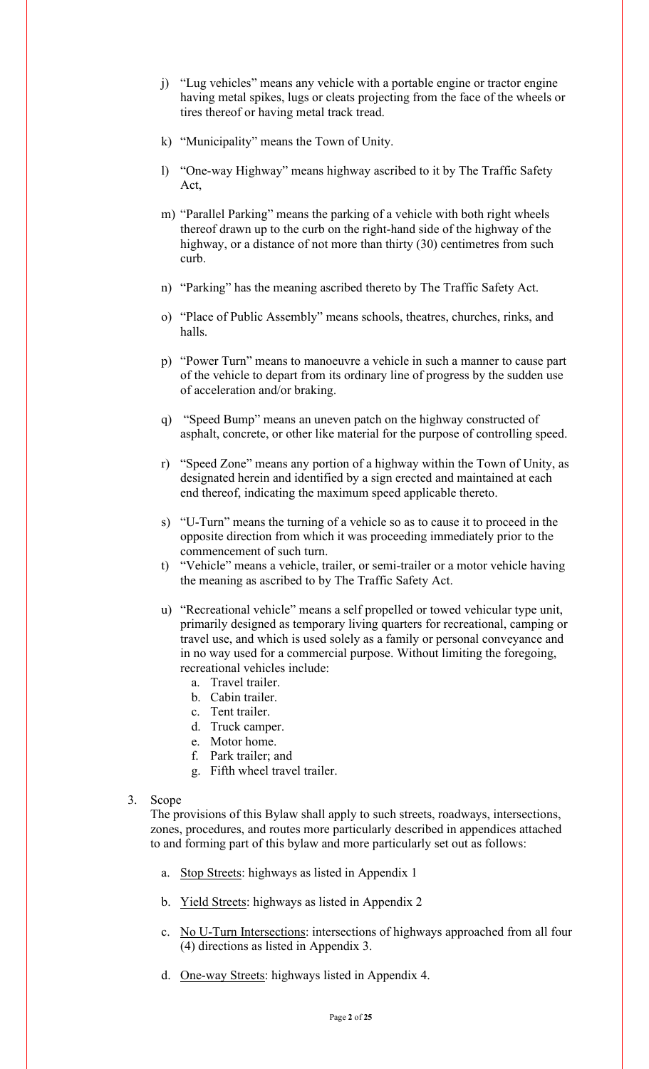- j) "Lug vehicles" means any vehicle with a portable engine or tractor engine having metal spikes, lugs or cleats projecting from the face of the wheels or tires thereof or having metal track tread.
- k) "Municipality" means the Town of Unity.
- l) "One-way Highway" means highway ascribed to it by The Traffic Safety Act,
- m) "Parallel Parking" means the parking of a vehicle with both right wheels thereof drawn up to the curb on the right-hand side of the highway of the highway, or a distance of not more than thirty (30) centimetres from such curb.
- n) "Parking" has the meaning ascribed thereto by The Traffic Safety Act.
- o) "Place of Public Assembly" means schools, theatres, churches, rinks, and halls.
- p) "Power Turn" means to manoeuvre a vehicle in such a manner to cause part of the vehicle to depart from its ordinary line of progress by the sudden use of acceleration and/or braking.
- q) "Speed Bump" means an uneven patch on the highway constructed of asphalt, concrete, or other like material for the purpose of controlling speed.
- r) "Speed Zone" means any portion of a highway within the Town of Unity, as designated herein and identified by a sign erected and maintained at each end thereof, indicating the maximum speed applicable thereto.
- s) "U-Turn" means the turning of a vehicle so as to cause it to proceed in the opposite direction from which it was proceeding immediately prior to the commencement of such turn.
- t) "Vehicle" means a vehicle, trailer, or semi-trailer or a motor vehicle having the meaning as ascribed to by The Traffic Safety Act.
- u) "Recreational vehicle" means a self propelled or towed vehicular type unit, primarily designed as temporary living quarters for recreational, camping or travel use, and which is used solely as a family or personal conveyance and in no way used for a commercial purpose. Without limiting the foregoing, recreational vehicles include:
	- a. Travel trailer.
	- b. Cabin trailer.
	- c. Tent trailer.
	- d. Truck camper.
	- e. Motor home.
	- f. Park trailer; and
	- g. Fifth wheel travel trailer.
- 3. Scope

The provisions of this Bylaw shall apply to such streets, roadways, intersections, zones, procedures, and routes more particularly described in appendices attached to and forming part of this bylaw and more particularly set out as follows:

- a. Stop Streets: highways as listed in Appendix 1
- b. Yield Streets: highways as listed in Appendix 2
- c. No U-Turn Intersections: intersections of highways approached from all four (4) directions as listed in Appendix 3.
- d. One-way Streets: highways listed in Appendix 4.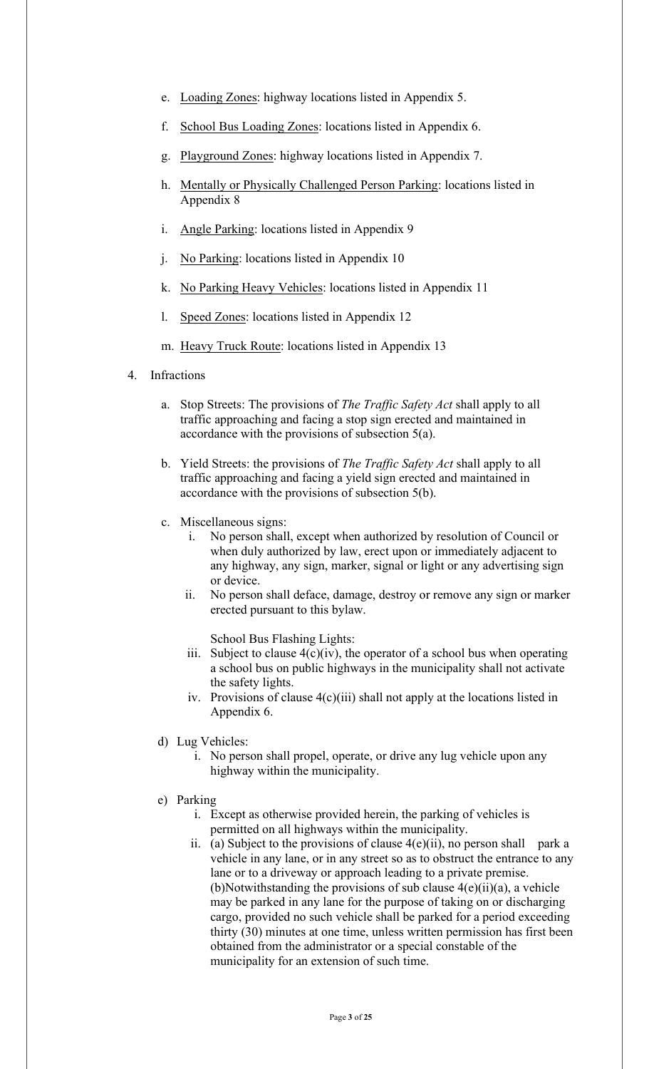- e. Loading Zones: highway locations listed in Appendix 5.
- f. School Bus Loading Zones: locations listed in Appendix 6.
- g. Playground Zones: highway locations listed in Appendix 7.
- h. Mentally or Physically Challenged Person Parking: locations listed in Appendix 8
- i. Angle Parking: locations listed in Appendix 9
- j. No Parking: locations listed in Appendix 10
- k. No Parking Heavy Vehicles: locations listed in Appendix 11
- l. Speed Zones: locations listed in Appendix 12
- m. Heavy Truck Route: locations listed in Appendix 13
- 4. Infractions
	- a. Stop Streets: The provisions of *The Traffic Safety Act* shall apply to all traffic approaching and facing a stop sign erected and maintained in accordance with the provisions of subsection 5(a).
	- b. Yield Streets: the provisions of *The Traffic Safety Act* shall apply to all traffic approaching and facing a yield sign erected and maintained in accordance with the provisions of subsection 5(b).
	- c. Miscellaneous signs:
		- i. No person shall, except when authorized by resolution of Council or when duly authorized by law, erect upon or immediately adjacent to any highway, any sign, marker, signal or light or any advertising sign or device.
		- ii. No person shall deface, damage, destroy or remove any sign or marker erected pursuant to this bylaw.

School Bus Flashing Lights:

- iii. Subject to clause  $4(c)(iv)$ , the operator of a school bus when operating a school bus on public highways in the municipality shall not activate the safety lights.
- iv. Provisions of clause 4(c)(iii) shall not apply at the locations listed in Appendix 6.
- d) Lug Vehicles:
	- i. No person shall propel, operate, or drive any lug vehicle upon any highway within the municipality.
- e) Parking
	- i. Except as otherwise provided herein, the parking of vehicles is permitted on all highways within the municipality.
	- ii. (a) Subject to the provisions of clause  $4(e)(ii)$ , no person shall park a vehicle in any lane, or in any street so as to obstruct the entrance to any lane or to a driveway or approach leading to a private premise. (b)Notwithstanding the provisions of sub clause  $4(e)(ii)(a)$ , a vehicle may be parked in any lane for the purpose of taking on or discharging cargo, provided no such vehicle shall be parked for a period exceeding thirty (30) minutes at one time, unless written permission has first been obtained from the administrator or a special constable of the municipality for an extension of such time.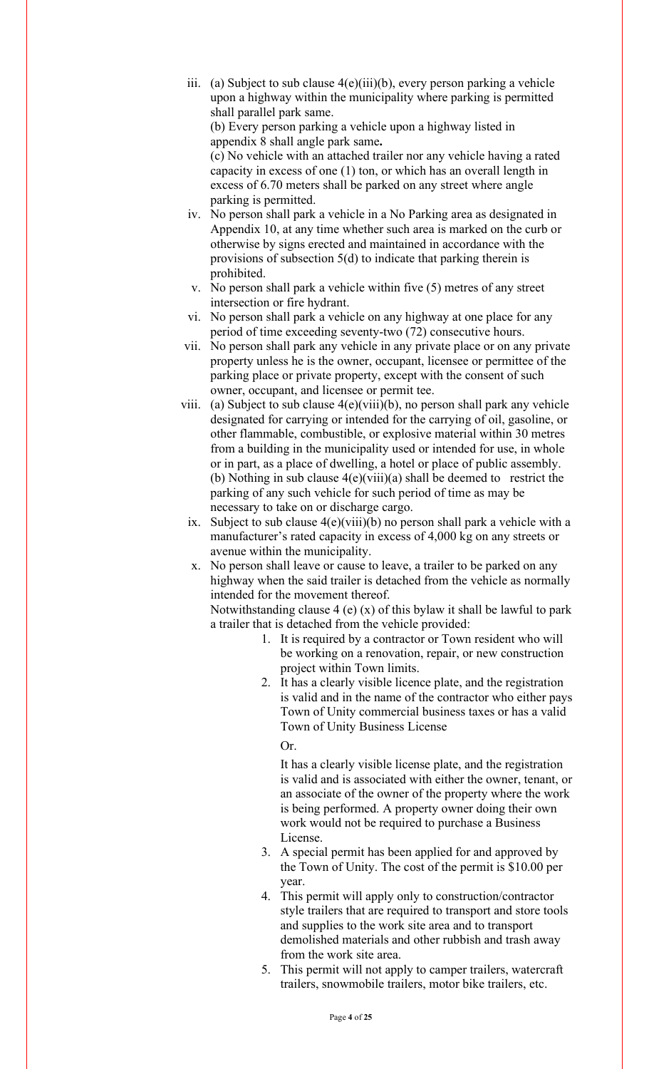iii. (a) Subject to sub clause 4(e)(iii)(b), every person parking a vehicle upon a highway within the municipality where parking is permitted shall parallel park same.

(b) Every person parking a vehicle upon a highway listed in appendix 8 shall angle park same**.**

(c) No vehicle with an attached trailer nor any vehicle having a rated capacity in excess of one (1) ton, or which has an overall length in excess of 6.70 meters shall be parked on any street where angle parking is permitted.

- iv. No person shall park a vehicle in a No Parking area as designated in Appendix 10, at any time whether such area is marked on the curb or otherwise by signs erected and maintained in accordance with the provisions of subsection 5(d) to indicate that parking therein is prohibited.
- v. No person shall park a vehicle within five (5) metres of any street intersection or fire hydrant.
- vi. No person shall park a vehicle on any highway at one place for any period of time exceeding seventy-two (72) consecutive hours.
- vii. No person shall park any vehicle in any private place or on any private property unless he is the owner, occupant, licensee or permittee of the parking place or private property, except with the consent of such owner, occupant, and licensee or permit tee.
- viii. (a) Subject to sub clause 4(e)(viii)(b), no person shall park any vehicle designated for carrying or intended for the carrying of oil, gasoline, or other flammable, combustible, or explosive material within 30 metres from a building in the municipality used or intended for use, in whole or in part, as a place of dwelling, a hotel or place of public assembly. (b) Nothing in sub clause  $4(e)(viii)(a)$  shall be deemed to restrict the parking of any such vehicle for such period of time as may be necessary to take on or discharge cargo.
	- ix. Subject to sub clause  $4(e)(viii)(b)$  no person shall park a vehicle with a manufacturer's rated capacity in excess of 4,000 kg on any streets or avenue within the municipality.
	- x. No person shall leave or cause to leave, a trailer to be parked on any highway when the said trailer is detached from the vehicle as normally intended for the movement thereof.

Notwithstanding clause 4 (e)  $(x)$  of this bylaw it shall be lawful to park a trailer that is detached from the vehicle provided:

- 1. It is required by a contractor or Town resident who will be working on a renovation, repair, or new construction project within Town limits.
- 2. It has a clearly visible licence plate, and the registration is valid and in the name of the contractor who either pays Town of Unity commercial business taxes or has a valid Town of Unity Business License

Or.

It has a clearly visible license plate, and the registration is valid and is associated with either the owner, tenant, or an associate of the owner of the property where the work is being performed. A property owner doing their own work would not be required to purchase a Business License.

- 3. A special permit has been applied for and approved by the Town of Unity. The cost of the permit is \$10.00 per year.
- 4. This permit will apply only to construction/contractor style trailers that are required to transport and store tools and supplies to the work site area and to transport demolished materials and other rubbish and trash away from the work site area.
- 5. This permit will not apply to camper trailers, watercraft trailers, snowmobile trailers, motor bike trailers, etc.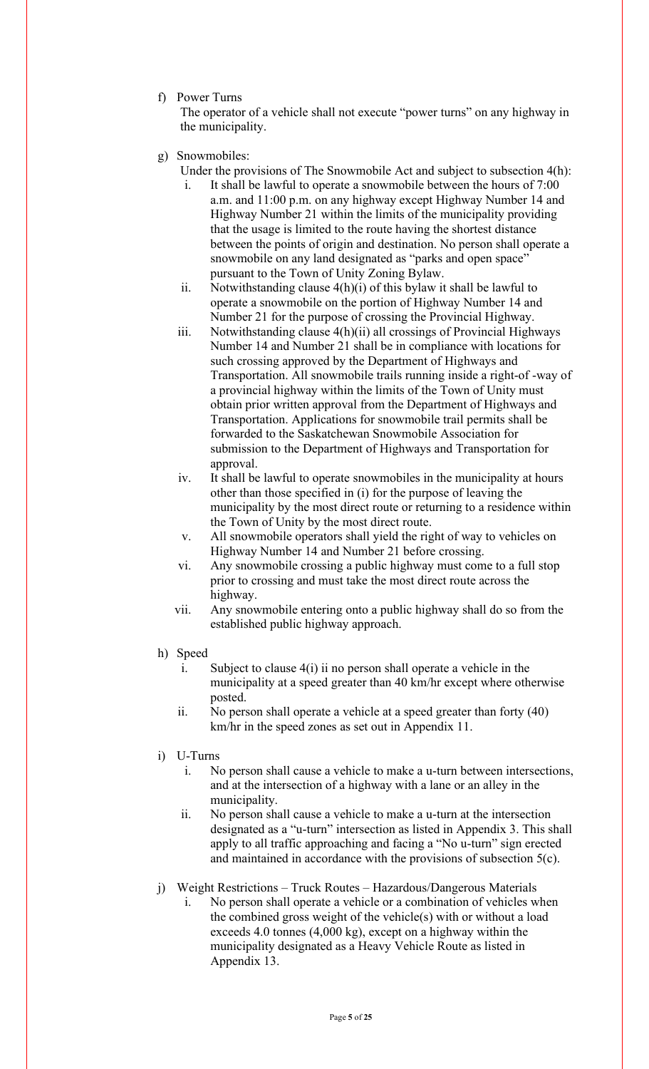f) Power Turns

The operator of a vehicle shall not execute "power turns" on any highway in the municipality.

- g) Snowmobiles:
	- Under the provisions of The Snowmobile Act and subject to subsection 4(h):
		- It shall be lawful to operate a snowmobile between the hours of 7:00 a.m. and 11:00 p.m. on any highway except Highway Number 14 and Highway Number 21 within the limits of the municipality providing that the usage is limited to the route having the shortest distance between the points of origin and destination. No person shall operate a snowmobile on any land designated as "parks and open space" pursuant to the Town of Unity Zoning Bylaw.
	- ii. Notwithstanding clause 4(h)(i) of this bylaw it shall be lawful to operate a snowmobile on the portion of Highway Number 14 and Number 21 for the purpose of crossing the Provincial Highway.
	- iii. Notwithstanding clause 4(h)(ii) all crossings of Provincial Highways Number 14 and Number 21 shall be in compliance with locations for such crossing approved by the Department of Highways and Transportation. All snowmobile trails running inside a right-of -way of a provincial highway within the limits of the Town of Unity must obtain prior written approval from the Department of Highways and Transportation. Applications for snowmobile trail permits shall be forwarded to the Saskatchewan Snowmobile Association for submission to the Department of Highways and Transportation for approval.
	- iv. It shall be lawful to operate snowmobiles in the municipality at hours other than those specified in (i) for the purpose of leaving the municipality by the most direct route or returning to a residence within the Town of Unity by the most direct route.
	- v. All snowmobile operators shall yield the right of way to vehicles on Highway Number 14 and Number 21 before crossing.
	- vi. Any snowmobile crossing a public highway must come to a full stop prior to crossing and must take the most direct route across the highway.
	- vii. Any snowmobile entering onto a public highway shall do so from the established public highway approach.
- h) Speed
	- i. Subject to clause 4(i) ii no person shall operate a vehicle in the municipality at a speed greater than 40 km/hr except where otherwise posted.
	- ii. No person shall operate a vehicle at a speed greater than forty (40) km/hr in the speed zones as set out in Appendix 11.
- i) U-Turns
	- i. No person shall cause a vehicle to make a u-turn between intersections, and at the intersection of a highway with a lane or an alley in the municipality.
	- ii. No person shall cause a vehicle to make a u-turn at the intersection designated as a "u-turn" intersection as listed in Appendix 3. This shall apply to all traffic approaching and facing a "No u-turn" sign erected and maintained in accordance with the provisions of subsection 5(c).
- j) Weight Restrictions Truck Routes Hazardous/Dangerous Materials
	- i. No person shall operate a vehicle or a combination of vehicles when the combined gross weight of the vehicle(s) with or without a load exceeds 4.0 tonnes (4,000 kg), except on a highway within the municipality designated as a Heavy Vehicle Route as listed in Appendix 13.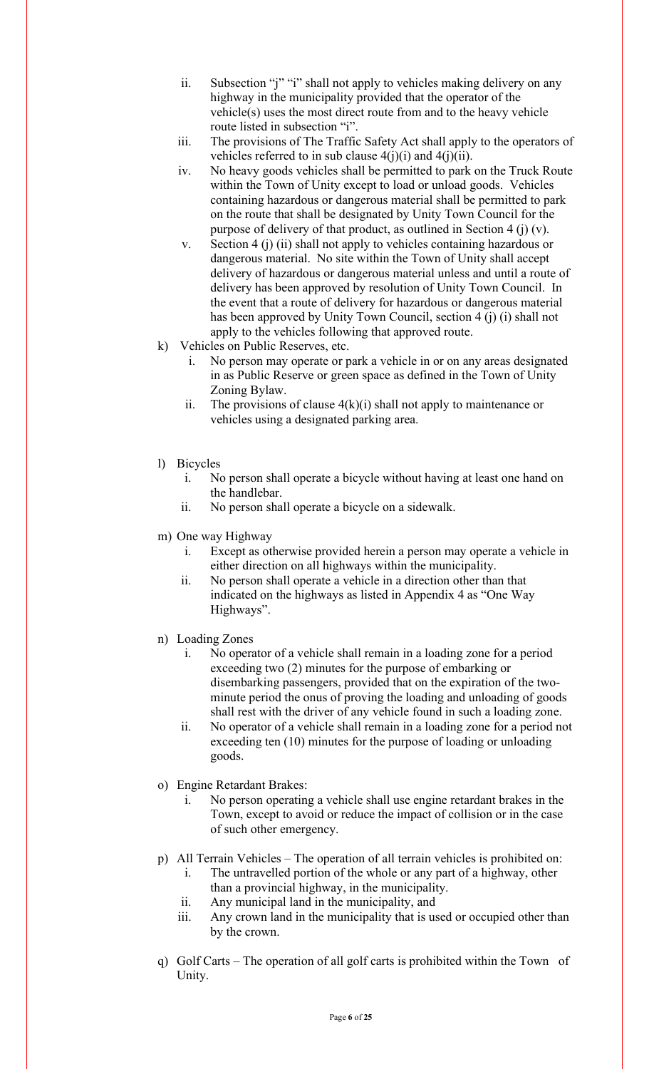- ii. Subsection "j" "i" shall not apply to vehicles making delivery on any highway in the municipality provided that the operator of the vehicle(s) uses the most direct route from and to the heavy vehicle route listed in subsection "i".
- iii. The provisions of The Traffic Safety Act shall apply to the operators of vehicles referred to in sub clause  $4(j)(i)$  and  $4(j)(ii)$ .
- iv. No heavy goods vehicles shall be permitted to park on the Truck Route within the Town of Unity except to load or unload goods. Vehicles containing hazardous or dangerous material shall be permitted to park on the route that shall be designated by Unity Town Council for the purpose of delivery of that product, as outlined in Section 4 (j) (v).
- v. Section 4 (j) (ii) shall not apply to vehicles containing hazardous or dangerous material. No site within the Town of Unity shall accept delivery of hazardous or dangerous material unless and until a route of delivery has been approved by resolution of Unity Town Council. In the event that a route of delivery for hazardous or dangerous material has been approved by Unity Town Council, section 4 (j) (i) shall not apply to the vehicles following that approved route.
- k) Vehicles on Public Reserves, etc.
	- i. No person may operate or park a vehicle in or on any areas designated in as Public Reserve or green space as defined in the Town of Unity Zoning Bylaw.
	- ii. The provisions of clause  $4(k)(i)$  shall not apply to maintenance or vehicles using a designated parking area.
- l) Bicycles
	- i. No person shall operate a bicycle without having at least one hand on the handlebar.
	- ii. No person shall operate a bicycle on a sidewalk.
- m) One way Highway
	- i. Except as otherwise provided herein a person may operate a vehicle in either direction on all highways within the municipality.
	- ii. No person shall operate a vehicle in a direction other than that indicated on the highways as listed in Appendix 4 as "One Way Highways".
- n) Loading Zones
	- i. No operator of a vehicle shall remain in a loading zone for a period exceeding two (2) minutes for the purpose of embarking or disembarking passengers, provided that on the expiration of the twominute period the onus of proving the loading and unloading of goods shall rest with the driver of any vehicle found in such a loading zone.
	- ii. No operator of a vehicle shall remain in a loading zone for a period not exceeding ten (10) minutes for the purpose of loading or unloading goods.
- o) Engine Retardant Brakes:
	- i. No person operating a vehicle shall use engine retardant brakes in the Town, except to avoid or reduce the impact of collision or in the case of such other emergency.
- p) All Terrain Vehicles The operation of all terrain vehicles is prohibited on:
	- i. The untravelled portion of the whole or any part of a highway, other than a provincial highway, in the municipality.
	- ii. Any municipal land in the municipality, and
	- iii. Any crown land in the municipality that is used or occupied other than by the crown.
- q) Golf Carts The operation of all golf carts is prohibited within the Town of Unity.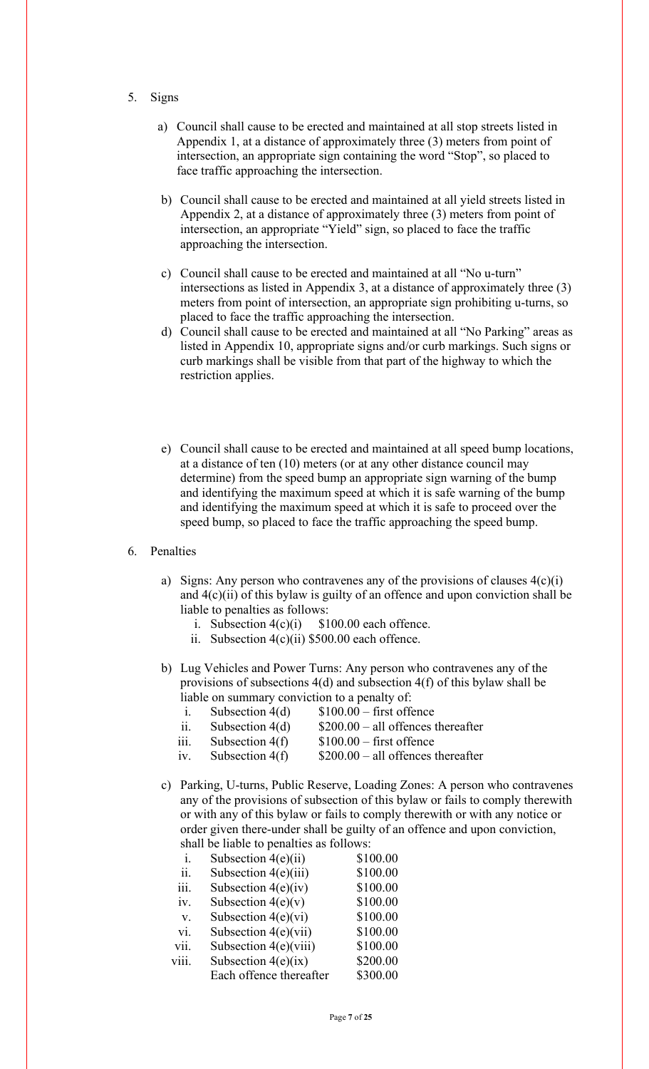- 5. Signs
	- a) Council shall cause to be erected and maintained at all stop streets listed in Appendix 1, at a distance of approximately three (3) meters from point of intersection, an appropriate sign containing the word "Stop", so placed to face traffic approaching the intersection.
	- b) Council shall cause to be erected and maintained at all yield streets listed in Appendix 2, at a distance of approximately three (3) meters from point of intersection, an appropriate "Yield" sign, so placed to face the traffic approaching the intersection.
	- c) Council shall cause to be erected and maintained at all "No u-turn" intersections as listed in Appendix 3, at a distance of approximately three (3) meters from point of intersection, an appropriate sign prohibiting u-turns, so placed to face the traffic approaching the intersection.
	- d) Council shall cause to be erected and maintained at all "No Parking" areas as listed in Appendix 10, appropriate signs and/or curb markings. Such signs or curb markings shall be visible from that part of the highway to which the restriction applies.
	- e) Council shall cause to be erected and maintained at all speed bump locations, at a distance of ten (10) meters (or at any other distance council may determine) from the speed bump an appropriate sign warning of the bump and identifying the maximum speed at which it is safe warning of the bump and identifying the maximum speed at which it is safe to proceed over the speed bump, so placed to face the traffic approaching the speed bump.

## 6. Penalties

- a) Signs: Any person who contravenes any of the provisions of clauses  $4(c)(i)$ and  $4(c)(ii)$  of this bylaw is guilty of an offence and upon conviction shall be liable to penalties as follows:
	- i. Subsection  $4(c)(i)$  \$100.00 each offence.
	- ii. Subsection 4(c)(ii) \$500.00 each offence.
- b) Lug Vehicles and Power Turns: Any person who contravenes any of the provisions of subsections 4(d) and subsection 4(f) of this bylaw shall be liable on summary conviction to a penalty of:
	- i. Subsection  $4(d)$  \$100.00 first offence
	- ii. Subsection  $4(d)$  \$200.00 all offences thereafter
	- iii. Subsection  $4(f)$  \$100.00 first offence
	- iv. Subsection  $4(f)$  \$200.00 all offences thereafter
- c) Parking, U-turns, Public Reserve, Loading Zones: A person who contravenes any of the provisions of subsection of this bylaw or fails to comply therewith or with any of this bylaw or fails to comply therewith or with any notice or order given there-under shall be guilty of an offence and upon conviction, shall be liable to penalties as follows:

| i.    | Subsection $4(e)(ii)$   | \$100.00 |
|-------|-------------------------|----------|
| ii.   | Subsection $4(e)(iii)$  | \$100.00 |
| iii.  | Subsection $4(e)(iv)$   | \$100.00 |
| iv.   | Subsection $4(e)(v)$    | \$100.00 |
| V.    | Subsection $4(e)(vi)$   | \$100.00 |
| vi.   | Subsection $4(e)(vii)$  | \$100.00 |
| vii.  | Subsection 4(e)(viii)   | \$100.00 |
| viii. | Subsection $4(e)(ix)$   | \$200.00 |
|       | Each offence thereafter | \$300.00 |
|       |                         |          |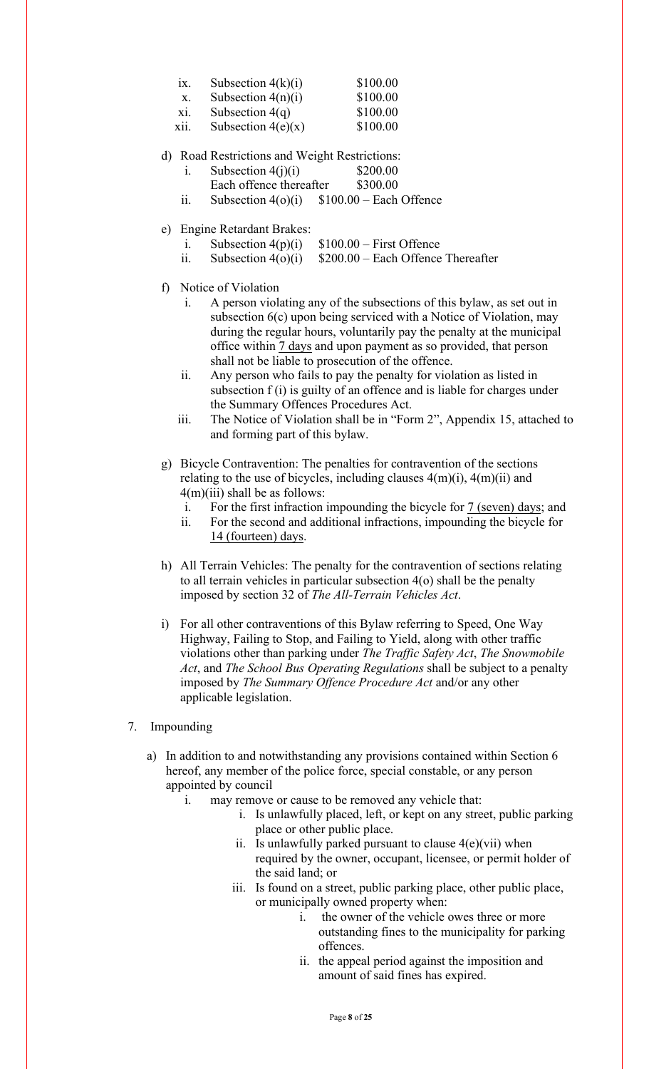| 1X. | Subsection $4(k)(i)$ | \$100.00 |
|-----|----------------------|----------|
|     | Subsection $4(n)(i)$ | \$100.00 |

|  | Subsection $4(q)$ | \$100.00 |
|--|-------------------|----------|
|--|-------------------|----------|

- xii. Subsection  $4(e)(x)$  \$100.00
- d) Road Restrictions and Weight Restrictions:
	- i. Subsection  $4(i)(i)$  \$200.00 Each offence thereafter \$300.00
	- ii. Subsection  $4(o)(i)$  \$100.00 Each Offence
- e) Engine Retardant Brakes:
	- i. Subsection  $4(p)(i)$  \$100.00 First Offence
	- ii. Subsection  $4(0)(i)$  \$200.00 Each Offence Thereafter
- f) Notice of Violation
	- i. A person violating any of the subsections of this bylaw, as set out in subsection 6(c) upon being serviced with a Notice of Violation, may during the regular hours, voluntarily pay the penalty at the municipal office within 7 days and upon payment as so provided, that person shall not be liable to prosecution of the offence.
	- ii. Any person who fails to pay the penalty for violation as listed in subsection f (i) is guilty of an offence and is liable for charges under the Summary Offences Procedures Act.
	- iii. The Notice of Violation shall be in "Form 2", Appendix 15, attached to and forming part of this bylaw.
- g) Bicycle Contravention: The penalties for contravention of the sections relating to the use of bicycles, including clauses  $4(m)(i)$ ,  $4(m)(ii)$  and  $4(m)(iii)$  shall be as follows:
	- i. For the first infraction impounding the bicycle for  $\frac{7 \text{ (seven)} \text{ days}}{4}$ ; and
	- ii. For the second and additional infractions, impounding the bicycle for 14 (fourteen) days.
- h) All Terrain Vehicles: The penalty for the contravention of sections relating to all terrain vehicles in particular subsection 4(o) shall be the penalty imposed by section 32 of *The All-Terrain Vehicles Act*.
- i) For all other contraventions of this Bylaw referring to Speed, One Way Highway, Failing to Stop, and Failing to Yield, along with other traffic violations other than parking under *The Traffic Safety Act*, *The Snowmobile Act*, and *The School Bus Operating Regulations* shall be subject to a penalty imposed by *The Summary Offence Procedure Act* and/or any other applicable legislation.
- 7. Impounding
	- a) In addition to and notwithstanding any provisions contained within Section 6 hereof, any member of the police force, special constable, or any person appointed by council
		- i. may remove or cause to be removed any vehicle that:
			- i. Is unlawfully placed, left, or kept on any street, public parking place or other public place.
			- ii. Is unlawfully parked pursuant to clause  $4(e)(vi)$  when required by the owner, occupant, licensee, or permit holder of the said land; or
			- iii. Is found on a street, public parking place, other public place, or municipally owned property when:
				- i. the owner of the vehicle owes three or more outstanding fines to the municipality for parking offences.
				- ii. the appeal period against the imposition and amount of said fines has expired.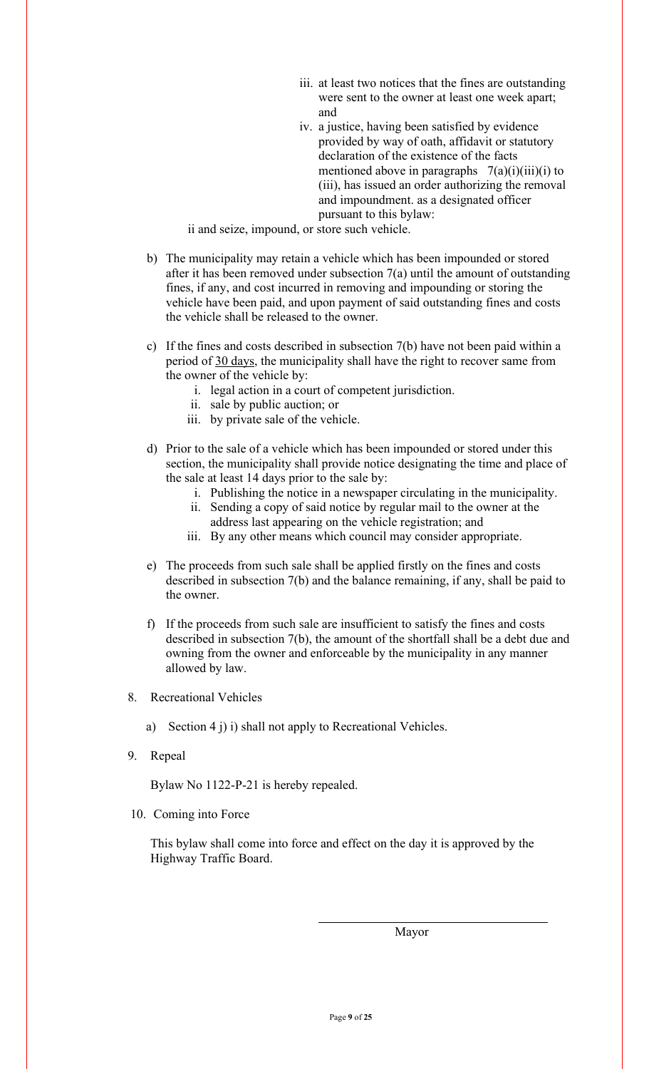- iii. at least two notices that the fines are outstanding were sent to the owner at least one week apart; and
- iv. a justice, having been satisfied by evidence provided by way of oath, affidavit or statutory declaration of the existence of the facts mentioned above in paragraphs  $7(a)(i)(iii)(i)$  to (iii), has issued an order authorizing the removal and impoundment. as a designated officer pursuant to this bylaw:

ii and seize, impound, or store such vehicle.

- b) The municipality may retain a vehicle which has been impounded or stored after it has been removed under subsection 7(a) until the amount of outstanding fines, if any, and cost incurred in removing and impounding or storing the vehicle have been paid, and upon payment of said outstanding fines and costs the vehicle shall be released to the owner.
- c) If the fines and costs described in subsection 7(b) have not been paid within a period of 30 days, the municipality shall have the right to recover same from the owner of the vehicle by:
	- i. legal action in a court of competent jurisdiction.
	- ii. sale by public auction; or
	- iii. by private sale of the vehicle.
- d) Prior to the sale of a vehicle which has been impounded or stored under this section, the municipality shall provide notice designating the time and place of the sale at least 14 days prior to the sale by:
	- i. Publishing the notice in a newspaper circulating in the municipality.
	- ii. Sending a copy of said notice by regular mail to the owner at the address last appearing on the vehicle registration; and
	- iii. By any other means which council may consider appropriate.
- e) The proceeds from such sale shall be applied firstly on the fines and costs described in subsection 7(b) and the balance remaining, if any, shall be paid to the owner.
- f) If the proceeds from such sale are insufficient to satisfy the fines and costs described in subsection 7(b), the amount of the shortfall shall be a debt due and owning from the owner and enforceable by the municipality in any manner allowed by law.
- 8. Recreational Vehicles
	- a) Section 4 j) i) shall not apply to Recreational Vehicles.
- 9. Repeal

Bylaw No 1122-P-21 is hereby repealed.

10. Coming into Force

This bylaw shall come into force and effect on the day it is approved by the Highway Traffic Board.

Mayor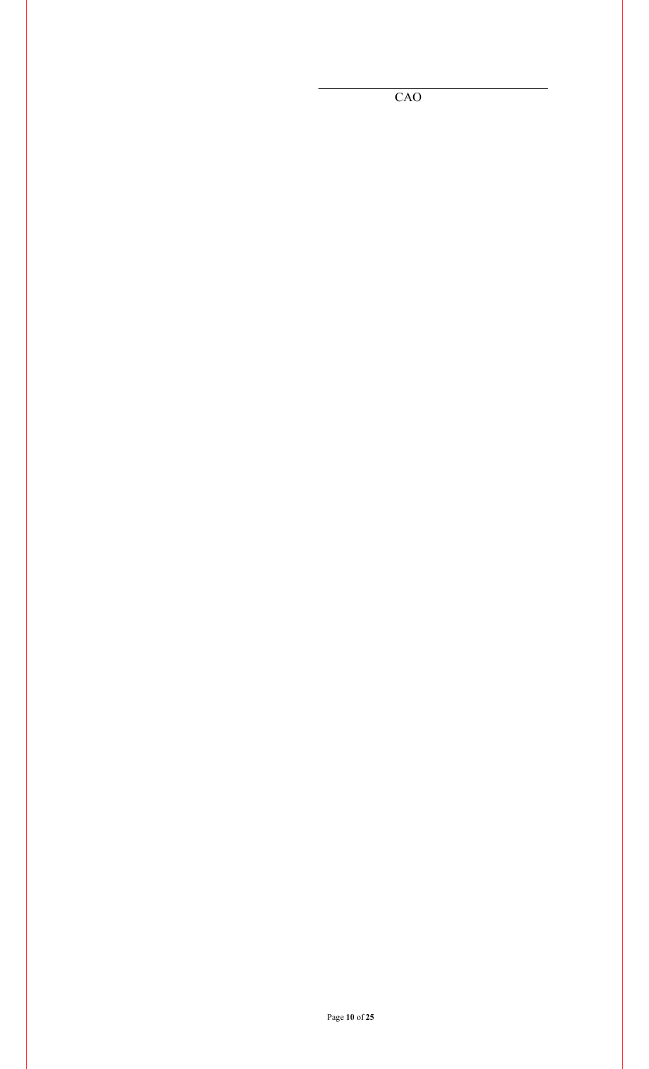CAO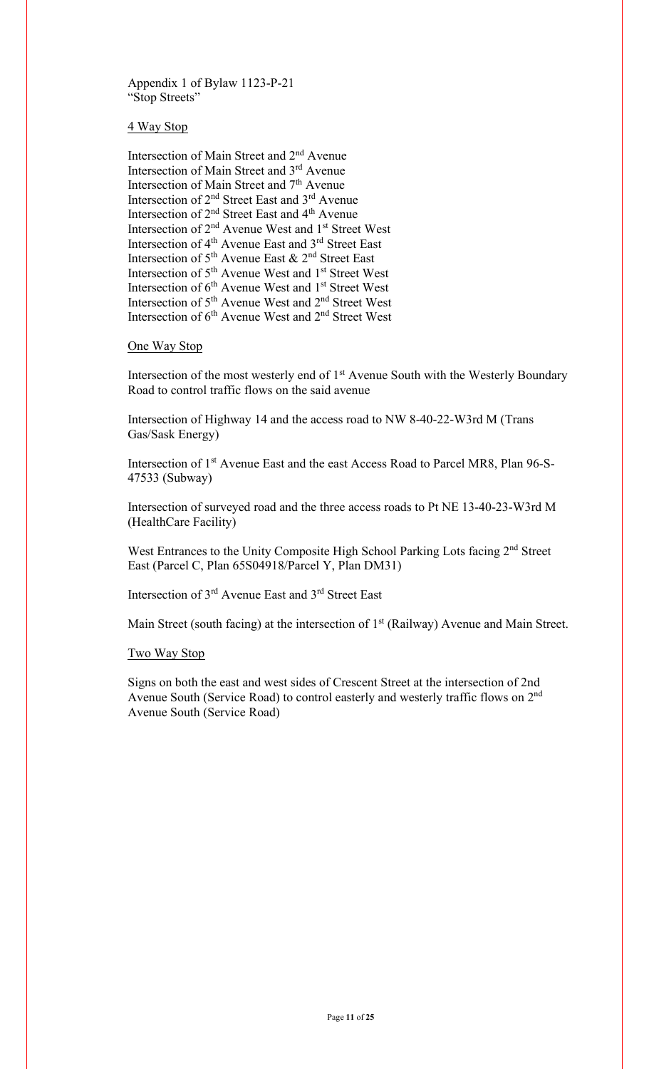Appendix 1 of Bylaw 1123-P-21 "Stop Streets"

4 Way Stop

Intersection of Main Street and 2nd Avenue Intersection of Main Street and 3rd Avenue Intersection of Main Street and 7<sup>th</sup> Avenue Intersection of 2nd Street East and 3rd Avenue Intersection of 2nd Street East and 4th Avenue Intersection of 2<sup>nd</sup> Avenue West and 1<sup>st</sup> Street West Intersection of 4<sup>th</sup> Avenue East and 3<sup>rd</sup> Street East Intersection of  $5<sup>th</sup>$  Avenue East &  $2<sup>nd</sup>$  Street East Intersection of 5<sup>th</sup> Avenue West and 1<sup>st</sup> Street West Intersection of 6<sup>th</sup> Avenue West and 1<sup>st</sup> Street West Intersection of 5th Avenue West and 2nd Street West Intersection of 6<sup>th</sup> Avenue West and 2<sup>nd</sup> Street West

One Way Stop

Intersection of the most westerly end of 1<sup>st</sup> Avenue South with the Westerly Boundary Road to control traffic flows on the said avenue

Intersection of Highway 14 and the access road to NW 8-40-22-W3rd M (Trans Gas/Sask Energy)

Intersection of 1st Avenue East and the east Access Road to Parcel MR8, Plan 96-S-47533 (Subway)

Intersection of surveyed road and the three access roads to Pt NE 13-40-23-W3rd M (HealthCare Facility)

West Entrances to the Unity Composite High School Parking Lots facing 2nd Street East (Parcel C, Plan 65S04918/Parcel Y, Plan DM31)

Intersection of 3rd Avenue East and 3rd Street East

Main Street (south facing) at the intersection of  $1<sup>st</sup>$  (Railway) Avenue and Main Street.

Two Way Stop

Signs on both the east and west sides of Crescent Street at the intersection of 2nd Avenue South (Service Road) to control easterly and westerly traffic flows on 2nd Avenue South (Service Road)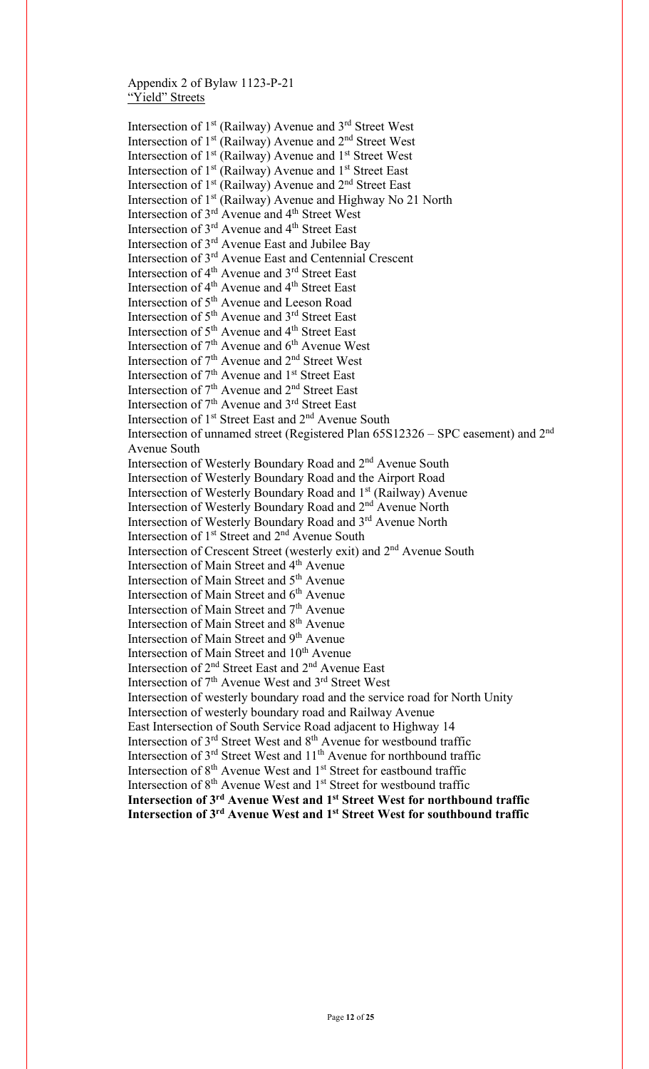Appendix 2 of Bylaw 1123-P-21 "Yield" Streets

Intersection of 1st (Railway) Avenue and 3rd Street West Intersection of  $1<sup>st</sup>$  (Railway) Avenue and  $2<sup>nd</sup>$  Street West Intersection of 1<sup>st</sup> (Railway) Avenue and 1<sup>st</sup> Street West Intersection of  $1<sup>st</sup>$  (Railway) Avenue and  $1<sup>st</sup>$  Street East Intersection of  $1<sup>st</sup>$  (Railway) Avenue and  $2<sup>nd</sup>$  Street East Intersection of 1<sup>st</sup> (Railway) Avenue and Highway No 21 North Intersection of 3<sup>rd</sup> Avenue and 4<sup>th</sup> Street West Intersection of 3<sup>rd</sup> Avenue and 4<sup>th</sup> Street East Intersection of 3rd Avenue East and Jubilee Bay Intersection of 3rd Avenue East and Centennial Crescent Intersection of 4<sup>th</sup> Avenue and 3<sup>rd</sup> Street East Intersection of 4<sup>th</sup> Avenue and 4<sup>th</sup> Street East Intersection of 5th Avenue and Leeson Road Intersection of 5th Avenue and 3rd Street East Intersection of 5<sup>th</sup> Avenue and 4<sup>th</sup> Street East Intersection of  $7<sup>th</sup>$  Avenue and  $6<sup>th</sup>$  Avenue West Intersection of 7<sup>th</sup> Avenue and 2<sup>nd</sup> Street West Intersection of 7<sup>th</sup> Avenue and 1<sup>st</sup> Street East Intersection of 7<sup>th</sup> Avenue and 2<sup>nd</sup> Street East Intersection of 7<sup>th</sup> Avenue and 3<sup>rd</sup> Street East Intersection of 1<sup>st</sup> Street East and 2<sup>nd</sup> Avenue South Intersection of unnamed street (Registered Plan 65S12326 – SPC easement) and 2nd Avenue South Intersection of Westerly Boundary Road and 2nd Avenue South Intersection of Westerly Boundary Road and the Airport Road Intersection of Westerly Boundary Road and 1st (Railway) Avenue Intersection of Westerly Boundary Road and 2nd Avenue North Intersection of Westerly Boundary Road and 3rd Avenue North Intersection of 1<sup>st</sup> Street and 2<sup>nd</sup> Avenue South Intersection of Crescent Street (westerly exit) and 2nd Avenue South Intersection of Main Street and 4th Avenue Intersection of Main Street and 5<sup>th</sup> Avenue Intersection of Main Street and  $6<sup>th</sup>$  Avenue Intersection of Main Street and 7<sup>th</sup> Avenue Intersection of Main Street and 8<sup>th</sup> Avenue Intersection of Main Street and 9<sup>th</sup> Avenue Intersection of Main Street and 10<sup>th</sup> Avenue Intersection of 2nd Street East and 2nd Avenue East Intersection of  $7<sup>th</sup>$  Avenue West and  $3<sup>rd</sup>$  Street West Intersection of westerly boundary road and the service road for North Unity Intersection of westerly boundary road and Railway Avenue East Intersection of South Service Road adjacent to Highway 14 Intersection of 3<sup>rd</sup> Street West and 8<sup>th</sup> Avenue for westbound traffic Intersection of  $3<sup>rd</sup>$  Street West and  $11<sup>th</sup>$  Avenue for northbound traffic Intersection of 8<sup>th</sup> Avenue West and 1<sup>st</sup> Street for eastbound traffic Intersection of 8<sup>th</sup> Avenue West and 1<sup>st</sup> Street for westbound traffic **Intersection of 3rd Avenue West and 1st Street West for northbound traffic Intersection of 3rd Avenue West and 1st Street West for southbound traffic**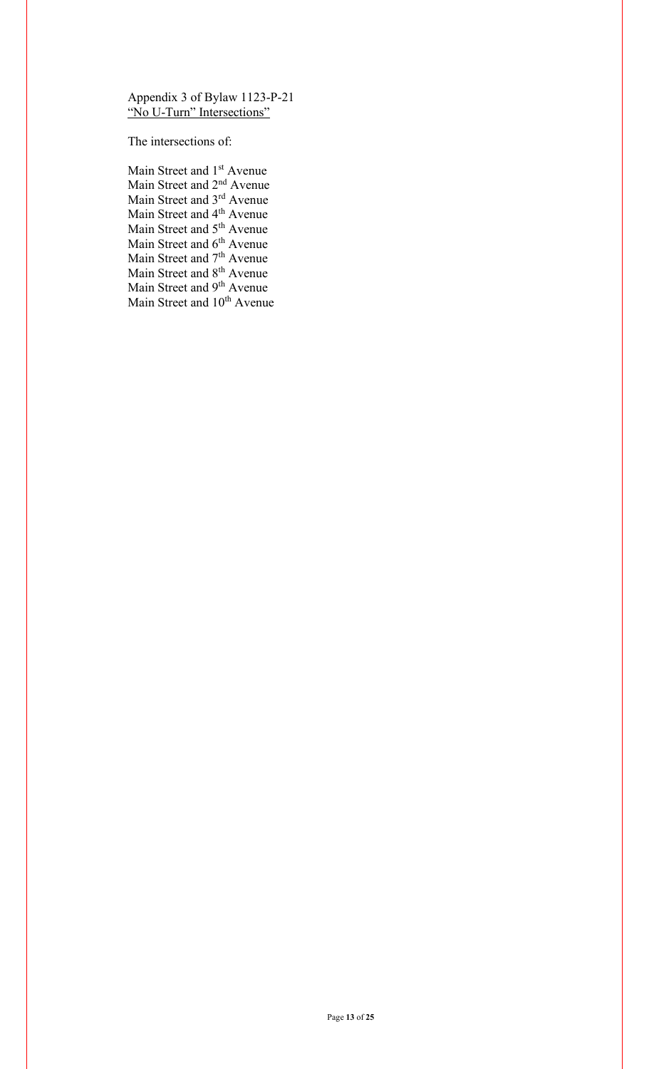Appendix 3 of Bylaw 1123-P-21 "No U-Turn" Intersections"

The intersections of:

Main Street and 1<sup>st</sup> Avenue Main Street and 2nd Avenue Main Street and 3<sup>rd</sup> Avenue Main Street and 4<sup>th</sup> Avenue Main Street and 5<sup>th</sup> Avenue Main Street and 6<sup>th</sup> Avenue Main Street and 7<sup>th</sup> Avenue Main Street and 8<sup>th</sup> Avenue Main Street and 9<sup>th</sup> Avenue Main Street and 10<sup>th</sup> Avenue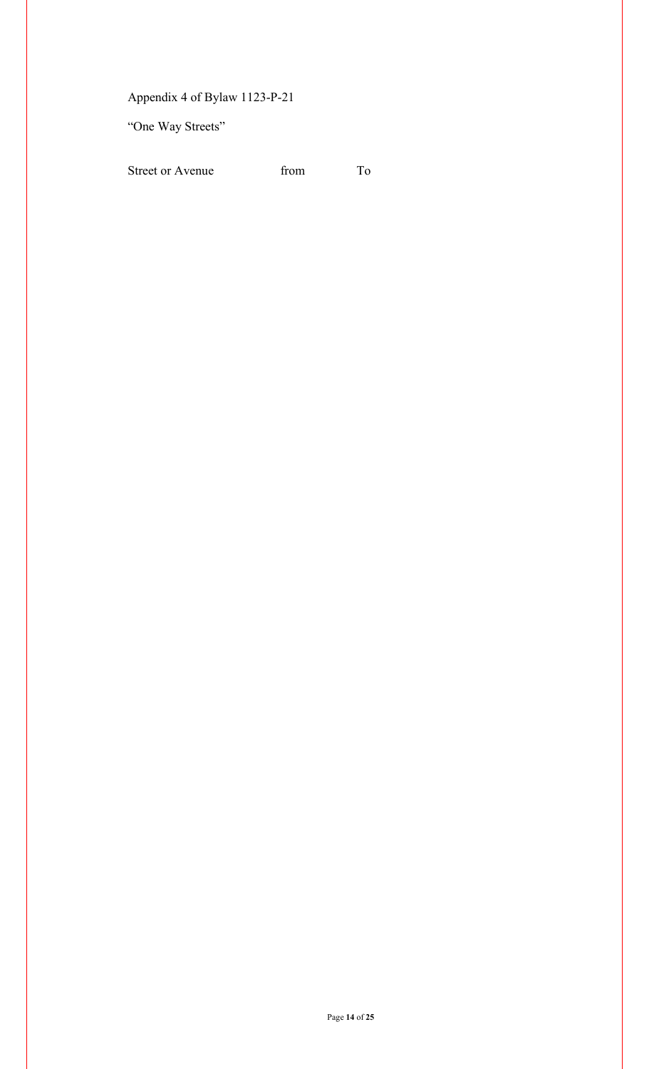Appendix 4 of Bylaw 1123-P-21

"One Way Streets"

Street or Avenue from To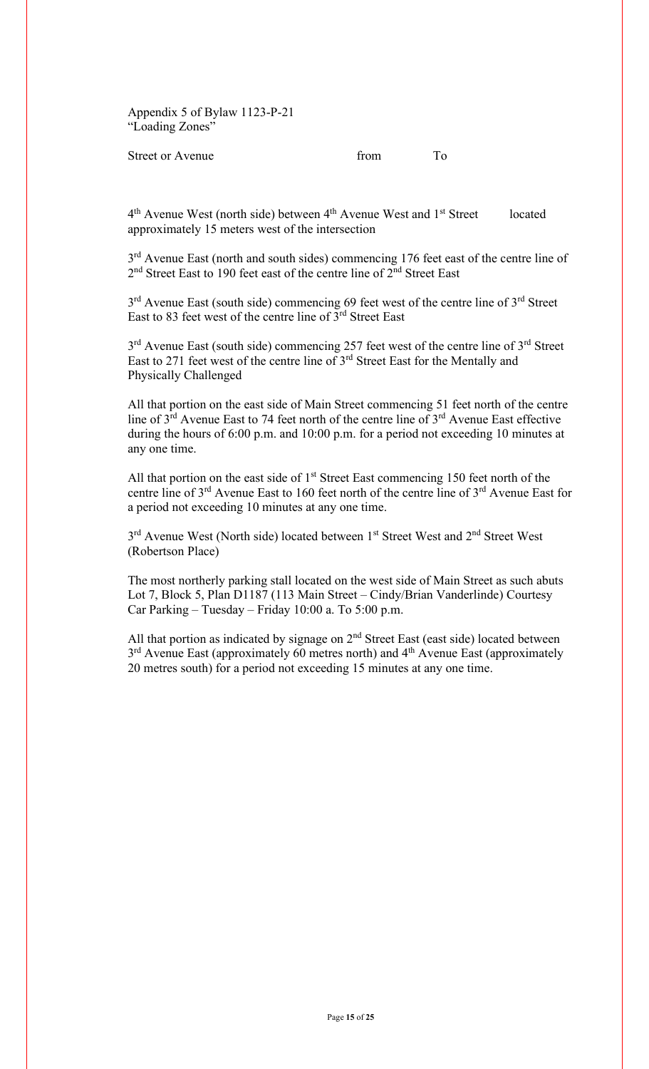Appendix 5 of Bylaw 1123-P-21 "Loading Zones"

# Street or Avenue from To

4<sup>th</sup> Avenue West (north side) between 4<sup>th</sup> Avenue West and 1<sup>st</sup> Street located approximately 15 meters west of the intersection

3<sup>rd</sup> Avenue East (north and south sides) commencing 176 feet east of the centre line of 2<sup>nd</sup> Street East to 190 feet east of the centre line of 2<sup>nd</sup> Street East

 $3<sup>rd</sup>$  Avenue East (south side) commencing 69 feet west of the centre line of  $3<sup>rd</sup>$  Street East to 83 feet west of the centre line of 3rd Street East

3<sup>rd</sup> Avenue East (south side) commencing 257 feet west of the centre line of 3<sup>rd</sup> Street East to 271 feet west of the centre line of 3rd Street East for the Mentally and Physically Challenged

All that portion on the east side of Main Street commencing 51 feet north of the centre line of  $3^{rd}$  Avenue East to 74 feet north of the centre line of  $3^{rd}$  Avenue East effective during the hours of 6:00 p.m. and 10:00 p.m. for a period not exceeding 10 minutes at any one time.

All that portion on the east side of  $1<sup>st</sup>$  Street East commencing 150 feet north of the centre line of 3<sup>rd</sup> Avenue East to 160 feet north of the centre line of 3<sup>rd</sup> Avenue East for a period not exceeding 10 minutes at any one time.

3<sup>rd</sup> Avenue West (North side) located between 1<sup>st</sup> Street West and 2<sup>nd</sup> Street West (Robertson Place)

The most northerly parking stall located on the west side of Main Street as such abuts Lot 7, Block 5, Plan D1187 (113 Main Street – Cindy/Brian Vanderlinde) Courtesy Car Parking – Tuesday – Friday 10:00 a. To 5:00 p.m.

All that portion as indicated by signage on  $2<sup>nd</sup>$  Street East (east side) located between  $3<sup>rd</sup>$  Avenue East (approximately 60 metres north) and  $4<sup>th</sup>$  Avenue East (approximately 20 metres south) for a period not exceeding 15 minutes at any one time.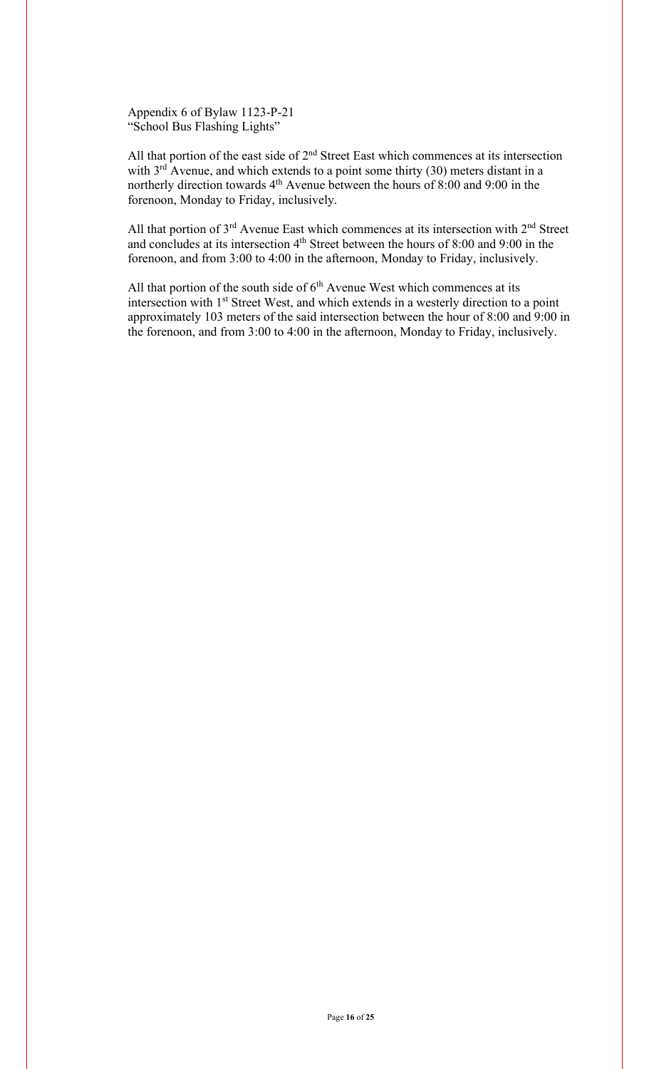Appendix 6 of Bylaw 1123-P-21 "School Bus Flashing Lights"

All that portion of the east side of  $2<sup>nd</sup>$  Street East which commences at its intersection with  $3<sup>rd</sup>$  Avenue, and which extends to a point some thirty (30) meters distant in a northerly direction towards  $4<sup>th</sup>$  Avenue between the hours of 8:00 and 9:00 in the forenoon, Monday to Friday, inclusively.

All that portion of  $3^{rd}$  Avenue East which commences at its intersection with  $2^{nd}$  Street and concludes at its intersection 4<sup>th</sup> Street between the hours of 8:00 and 9:00 in the forenoon, and from 3:00 to 4:00 in the afternoon, Monday to Friday, inclusively.

All that portion of the south side of  $6<sup>th</sup>$  Avenue West which commences at its intersection with 1<sup>st</sup> Street West, and which extends in a westerly direction to a point approximately 103 meters of the said intersection between the hour of 8:00 and 9:00 in the forenoon, and from 3:00 to 4:00 in the afternoon, Monday to Friday, inclusively.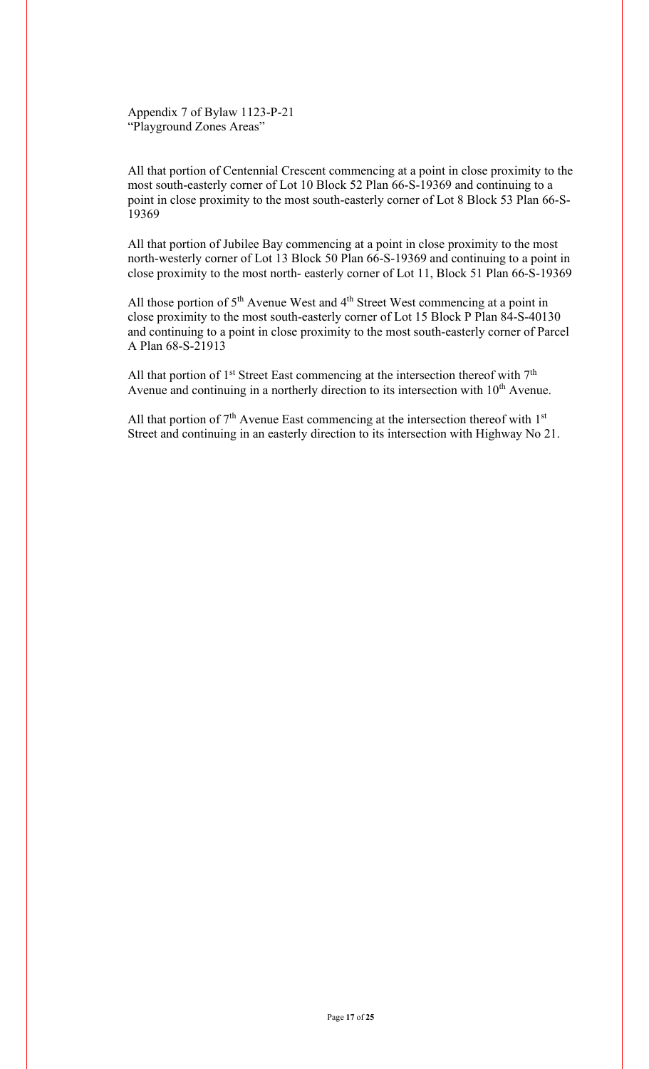Appendix 7 of Bylaw 1123-P-21 "Playground Zones Areas"

All that portion of Centennial Crescent commencing at a point in close proximity to the most south-easterly corner of Lot 10 Block 52 Plan 66-S-19369 and continuing to a point in close proximity to the most south-easterly corner of Lot 8 Block 53 Plan 66-S-19369

All that portion of Jubilee Bay commencing at a point in close proximity to the most north-westerly corner of Lot 13 Block 50 Plan 66-S-19369 and continuing to a point in close proximity to the most north- easterly corner of Lot 11, Block 51 Plan 66-S-19369

All those portion of  $5<sup>th</sup>$  Avenue West and  $4<sup>th</sup>$  Street West commencing at a point in close proximity to the most south-easterly corner of Lot 15 Block P Plan 84-S-40130 and continuing to a point in close proximity to the most south-easterly corner of Parcel A Plan 68-S-21913

All that portion of  $1<sup>st</sup>$  Street East commencing at the intersection thereof with  $7<sup>th</sup>$ Avenue and continuing in a northerly direction to its intersection with  $10<sup>th</sup>$  Avenue.

All that portion of  $7<sup>th</sup>$  Avenue East commencing at the intersection thereof with  $1<sup>st</sup>$ Street and continuing in an easterly direction to its intersection with Highway No 21.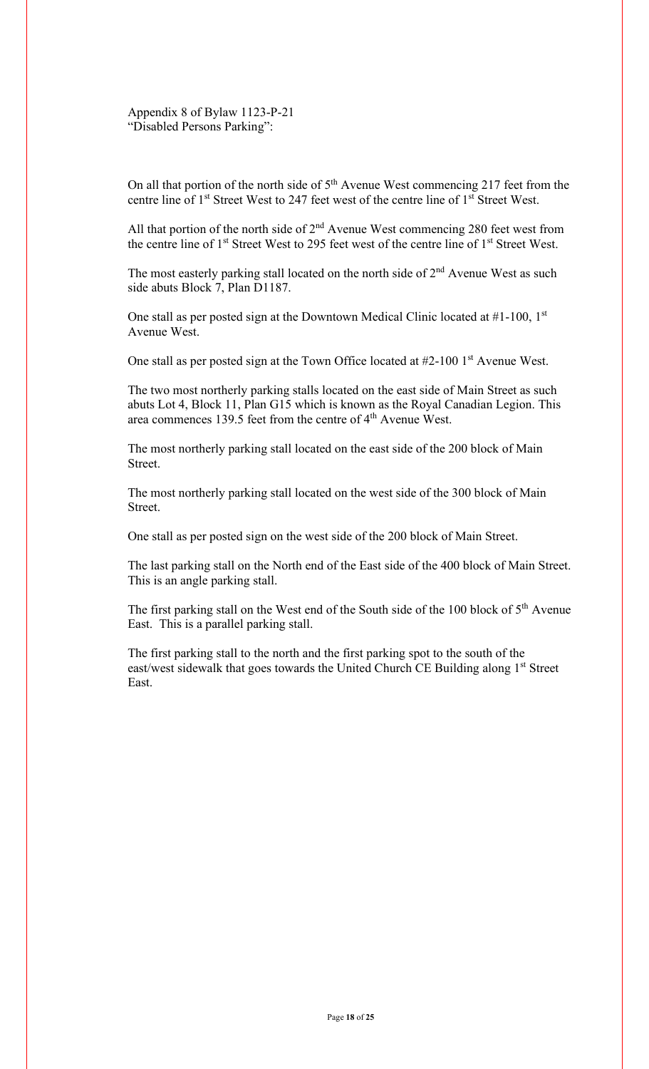Appendix 8 of Bylaw 1123-P-21 "Disabled Persons Parking":

On all that portion of the north side of  $5<sup>th</sup>$  Avenue West commencing 217 feet from the centre line of 1<sup>st</sup> Street West to 247 feet west of the centre line of 1<sup>st</sup> Street West.

All that portion of the north side of  $2<sup>nd</sup>$  Avenue West commencing 280 feet west from the centre line of 1<sup>st</sup> Street West to 295 feet west of the centre line of 1<sup>st</sup> Street West.

The most easterly parking stall located on the north side of  $2<sup>nd</sup>$  Avenue West as such side abuts Block 7, Plan D1187.

One stall as per posted sign at the Downtown Medical Clinic located at  $#1-100$ , 1st Avenue West.

One stall as per posted sign at the Town Office located at  $#2-1001$ <sup>st</sup> Avenue West.

The two most northerly parking stalls located on the east side of Main Street as such abuts Lot 4, Block 11, Plan G15 which is known as the Royal Canadian Legion. This area commences 139.5 feet from the centre of 4<sup>th</sup> Avenue West.

The most northerly parking stall located on the east side of the 200 block of Main Street.

The most northerly parking stall located on the west side of the 300 block of Main Street.

One stall as per posted sign on the west side of the 200 block of Main Street.

The last parking stall on the North end of the East side of the 400 block of Main Street. This is an angle parking stall.

The first parking stall on the West end of the South side of the 100 block of  $5<sup>th</sup>$  Avenue East. This is a parallel parking stall.

The first parking stall to the north and the first parking spot to the south of the east/west sidewalk that goes towards the United Church CE Building along 1<sup>st</sup> Street East.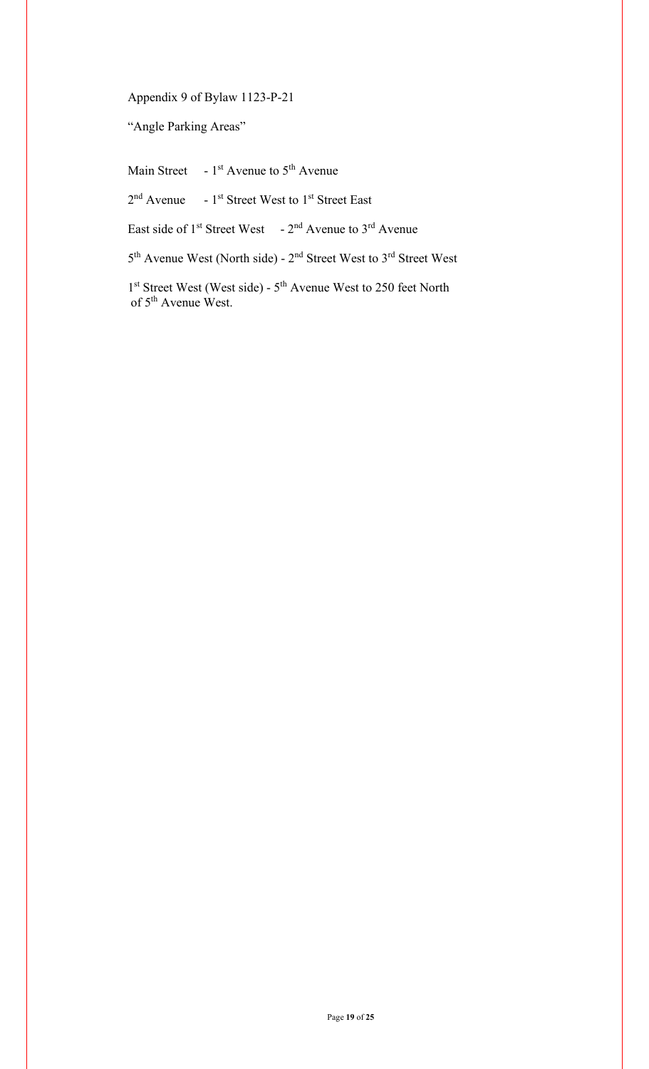Appendix 9 of Bylaw 1123-P-21

"Angle Parking Areas"

Main Street  $-1<sup>st</sup>$  Avenue to  $5<sup>th</sup>$  Avenue

 $2<sup>nd</sup>$  Avenue - 1<sup>st</sup> Street West to 1<sup>st</sup> Street East

East side of  $1^{st}$  Street West -  $2^{nd}$  Avenue to  $3^{rd}$  Avenue

5th Avenue West (North side) - 2nd Street West to 3rd Street West

1<sup>st</sup> Street West (West side) - 5<sup>th</sup> Avenue West to 250 feet North of 5<sup>th</sup> Avenue West.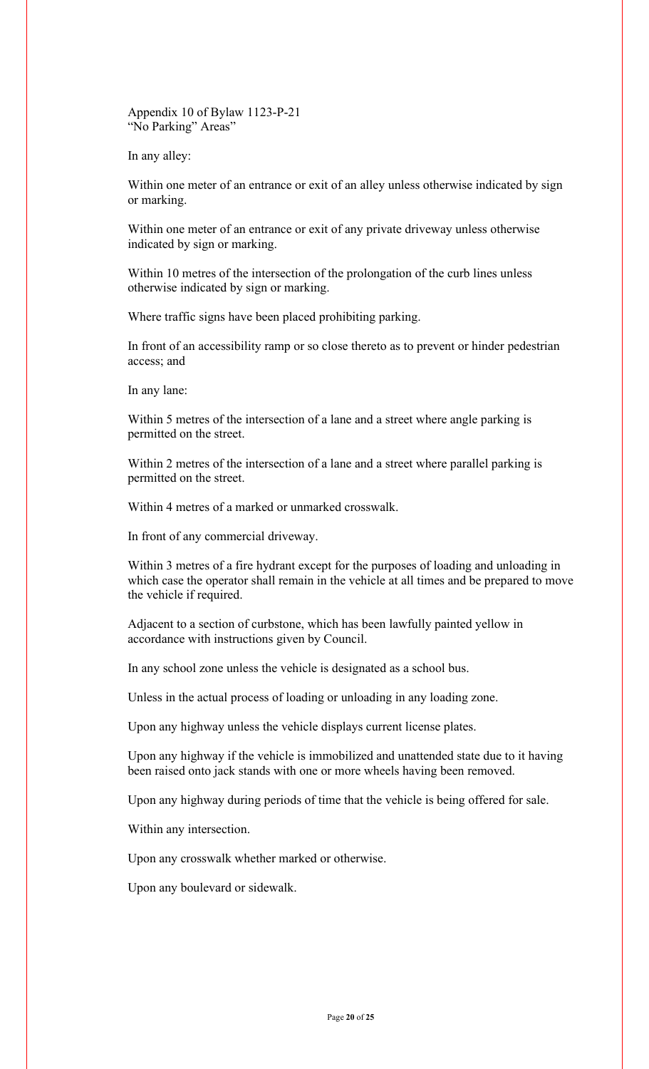Appendix 10 of Bylaw 1123-P-21 "No Parking" Areas"

In any alley:

Within one meter of an entrance or exit of an alley unless otherwise indicated by sign or marking.

Within one meter of an entrance or exit of any private driveway unless otherwise indicated by sign or marking.

Within 10 metres of the intersection of the prolongation of the curb lines unless otherwise indicated by sign or marking.

Where traffic signs have been placed prohibiting parking.

In front of an accessibility ramp or so close thereto as to prevent or hinder pedestrian access; and

In any lane:

Within 5 metres of the intersection of a lane and a street where angle parking is permitted on the street.

Within 2 metres of the intersection of a lane and a street where parallel parking is permitted on the street.

Within 4 metres of a marked or unmarked crosswalk.

In front of any commercial driveway.

Within 3 metres of a fire hydrant except for the purposes of loading and unloading in which case the operator shall remain in the vehicle at all times and be prepared to move the vehicle if required.

Adjacent to a section of curbstone, which has been lawfully painted yellow in accordance with instructions given by Council.

In any school zone unless the vehicle is designated as a school bus.

Unless in the actual process of loading or unloading in any loading zone.

Upon any highway unless the vehicle displays current license plates.

Upon any highway if the vehicle is immobilized and unattended state due to it having been raised onto jack stands with one or more wheels having been removed.

Upon any highway during periods of time that the vehicle is being offered for sale.

Within any intersection.

Upon any crosswalk whether marked or otherwise.

Upon any boulevard or sidewalk.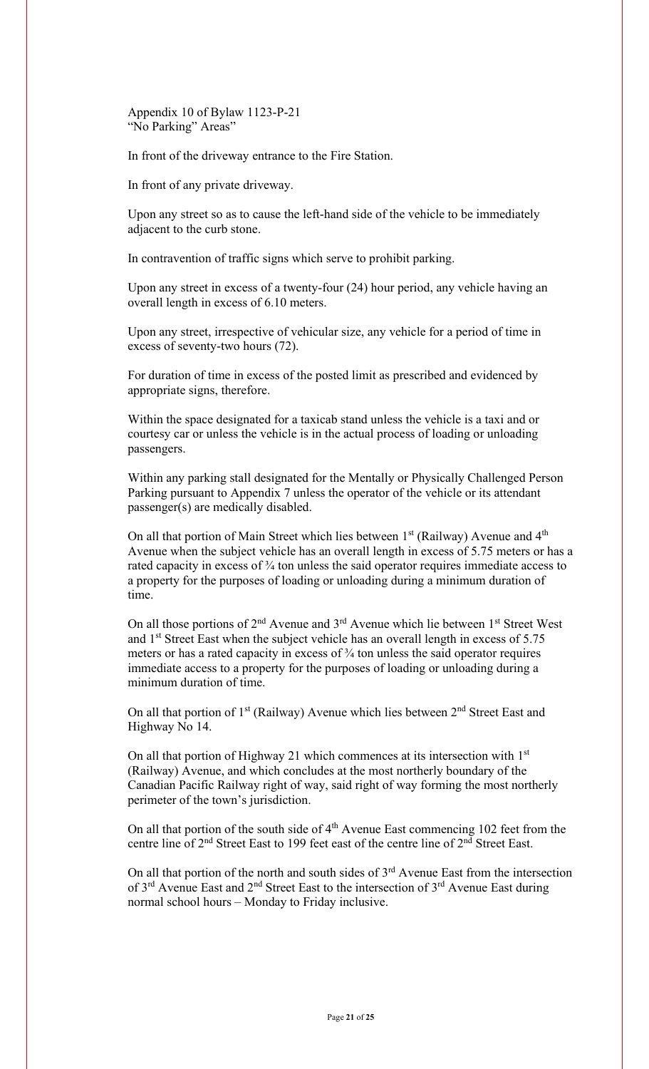Appendix 10 of Bylaw 1123-P-21 "No Parking" Areas"

In front of the driveway entrance to the Fire Station.

In front of any private driveway.

Upon any street so as to cause the left-hand side of the vehicle to be immediately adjacent to the curb stone.

In contravention of traffic signs which serve to prohibit parking.

Upon any street in excess of a twenty-four (24) hour period, any vehicle having an overall length in excess of 6.10 meters.

Upon any street, irrespective of vehicular size, any vehicle for a period of time in excess of seventy-two hours (72).

For duration of time in excess of the posted limit as prescribed and evidenced by appropriate signs, therefore.

Within the space designated for a taxicab stand unless the vehicle is a taxi and or courtesy car or unless the vehicle is in the actual process of loading or unloading passengers.

Within any parking stall designated for the Mentally or Physically Challenged Person Parking pursuant to Appendix 7 unless the operator of the vehicle or its attendant passenger(s) are medically disabled.

On all that portion of Main Street which lies between  $1<sup>st</sup>$  (Railway) Avenue and  $4<sup>th</sup>$ Avenue when the subject vehicle has an overall length in excess of 5.75 meters or has a rated capacity in excess of 3⁄4 ton unless the said operator requires immediate access to a property for the purposes of loading or unloading during a minimum duration of time.

On all those portions of  $2<sup>nd</sup>$  Avenue and  $3<sup>rd</sup>$  Avenue which lie between  $1<sup>st</sup>$  Street West and 1<sup>st</sup> Street East when the subject vehicle has an overall length in excess of 5.75 meters or has a rated capacity in excess of  $\frac{3}{4}$  ton unless the said operator requires immediate access to a property for the purposes of loading or unloading during a minimum duration of time.

On all that portion of  $1<sup>st</sup>$  (Railway) Avenue which lies between  $2<sup>nd</sup>$  Street East and Highway No 14.

On all that portion of Highway 21 which commences at its intersection with 1<sup>st</sup> (Railway) Avenue, and which concludes at the most northerly boundary of the Canadian Pacific Railway right of way, said right of way forming the most northerly perimeter of the town's jurisdiction.

On all that portion of the south side of  $4<sup>th</sup>$  Avenue East commencing 102 feet from the centre line of 2<sup>nd</sup> Street East to 199 feet east of the centre line of 2<sup>nd</sup> Street East.

On all that portion of the north and south sides of  $3<sup>rd</sup>$  Avenue East from the intersection of  $3<sup>rd</sup>$  Avenue East and  $2<sup>nd</sup>$  Street East to the intersection of  $3<sup>rd</sup>$  Avenue East during normal school hours – Monday to Friday inclusive.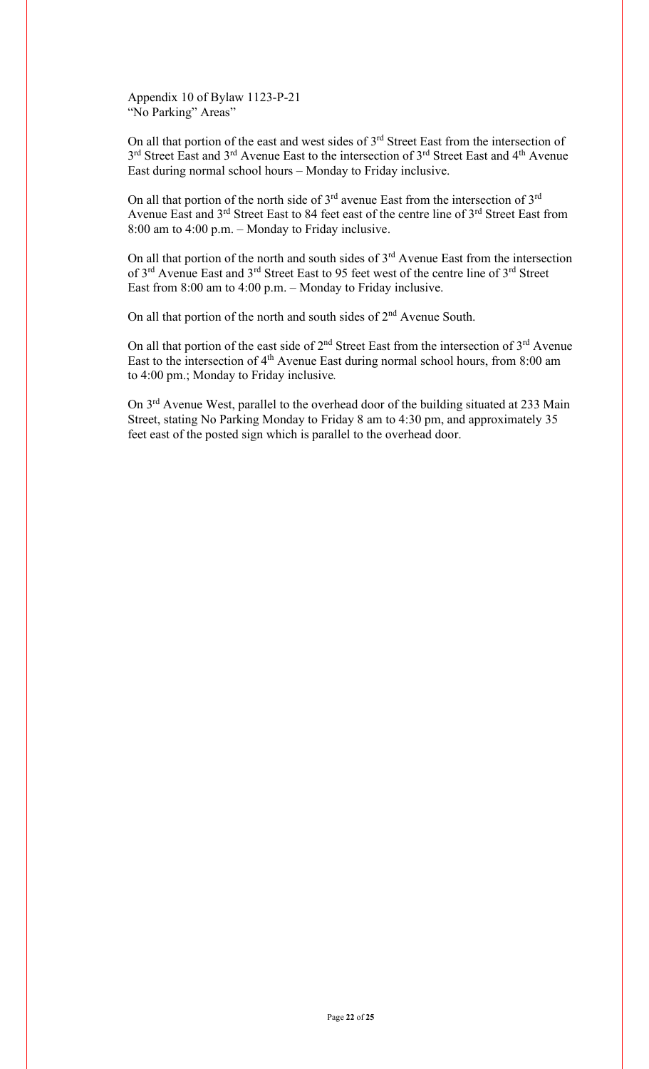Appendix 10 of Bylaw 1123-P-21 "No Parking" Areas"

On all that portion of the east and west sides of  $3<sup>rd</sup>$  Street East from the intersection of 3<sup>rd</sup> Street East and 3<sup>rd</sup> Avenue East to the intersection of 3<sup>rd</sup> Street East and 4<sup>th</sup> Avenue East during normal school hours – Monday to Friday inclusive.

On all that portion of the north side of  $3<sup>rd</sup>$  avenue East from the intersection of  $3<sup>rd</sup>$ Avenue East and 3<sup>rd</sup> Street East to 84 feet east of the centre line of 3<sup>rd</sup> Street East from 8:00 am to 4:00 p.m. – Monday to Friday inclusive.

On all that portion of the north and south sides of  $3<sup>rd</sup>$  Avenue East from the intersection of 3<sup>rd</sup> Avenue East and 3<sup>rd</sup> Street East to 95 feet west of the centre line of 3<sup>rd</sup> Street East from 8:00 am to 4:00 p.m. – Monday to Friday inclusive.

On all that portion of the north and south sides of  $2<sup>nd</sup>$  Avenue South.

On all that portion of the east side of  $2<sup>nd</sup>$  Street East from the intersection of  $3<sup>rd</sup>$  Avenue East to the intersection of 4<sup>th</sup> Avenue East during normal school hours, from 8:00 am to 4:00 pm.; Monday to Friday inclusive*.*

On 3<sup>rd</sup> Avenue West, parallel to the overhead door of the building situated at 233 Main Street, stating No Parking Monday to Friday 8 am to 4:30 pm, and approximately 35 feet east of the posted sign which is parallel to the overhead door.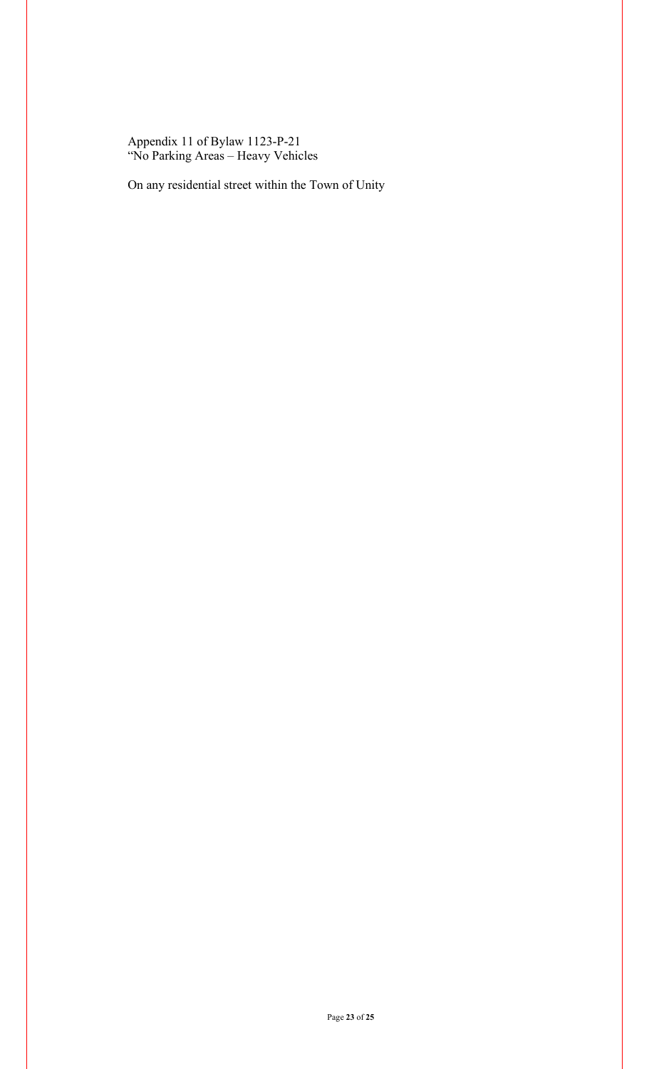Appendix 11 of Bylaw 1123-P-21 "No Parking Areas – Heavy Vehicles

On any residential street within the Town of Unity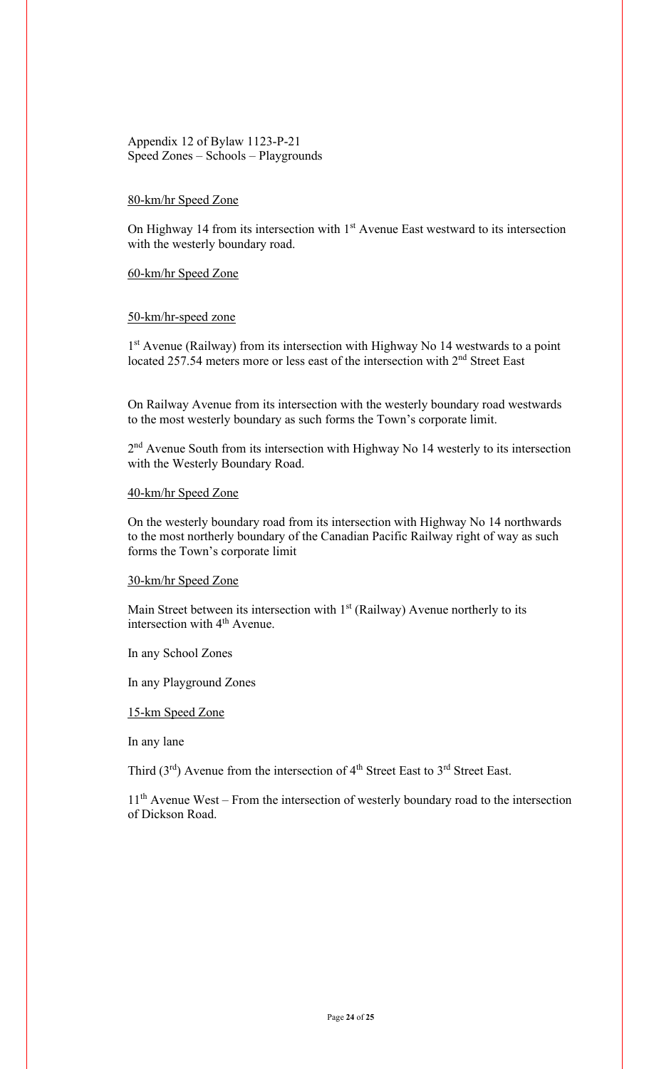## Appendix 12 of Bylaw 1123-P-21 Speed Zones – Schools – Playgrounds

## 80-km/hr Speed Zone

On Highway 14 from its intersection with  $1<sup>st</sup>$  Avenue East westward to its intersection with the westerly boundary road.

#### 60-km/hr Speed Zone

#### 50-km/hr-speed zone

1<sup>st</sup> Avenue (Railway) from its intersection with Highway No 14 westwards to a point located 257.54 meters more or less east of the intersection with  $2<sup>nd</sup>$  Street East

On Railway Avenue from its intersection with the westerly boundary road westwards to the most westerly boundary as such forms the Town's corporate limit.

2<sup>nd</sup> Avenue South from its intersection with Highway No 14 westerly to its intersection with the Westerly Boundary Road.

### 40-km/hr Speed Zone

On the westerly boundary road from its intersection with Highway No 14 northwards to the most northerly boundary of the Canadian Pacific Railway right of way as such forms the Town's corporate limit

#### 30-km/hr Speed Zone

Main Street between its intersection with  $1<sup>st</sup>$  (Railway) Avenue northerly to its intersection with  $4<sup>th</sup>$  Avenue.

In any School Zones

In any Playground Zones

15-km Speed Zone

In any lane

Third  $(3<sup>rd</sup>)$  Avenue from the intersection of  $4<sup>th</sup>$  Street East to  $3<sup>rd</sup>$  Street East.

11<sup>th</sup> Avenue West – From the intersection of westerly boundary road to the intersection of Dickson Road.